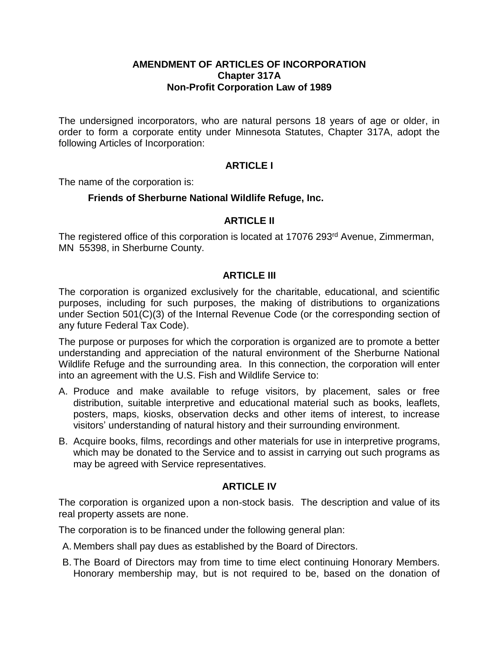#### **AMENDMENT OF ARTICLES OF INCORPORATION Chapter 317A Non-Profit Corporation Law of 1989**

The undersigned incorporators, who are natural persons 18 years of age or older, in order to form a corporate entity under Minnesota Statutes, Chapter 317A, adopt the following Articles of Incorporation:

# **ARTICLE I**

The name of the corporation is:

## **Friends of Sherburne National Wildlife Refuge, Inc.**

## **ARTICLE II**

The registered office of this corporation is located at 17076 293<sup>rd</sup> Avenue, Zimmerman, MN 55398, in Sherburne County.

### **ARTICLE III**

The corporation is organized exclusively for the charitable, educational, and scientific purposes, including for such purposes, the making of distributions to organizations under Section 501(C)(3) of the Internal Revenue Code (or the corresponding section of any future Federal Tax Code).

The purpose or purposes for which the corporation is organized are to promote a better understanding and appreciation of the natural environment of the Sherburne National Wildlife Refuge and the surrounding area. In this connection, the corporation will enter into an agreement with the U.S. Fish and Wildlife Service to:

- A. Produce and make available to refuge visitors, by placement, sales or free distribution, suitable interpretive and educational material such as books, leaflets, posters, maps, kiosks, observation decks and other items of interest, to increase visitors' understanding of natural history and their surrounding environment.
- B. Acquire books, films, recordings and other materials for use in interpretive programs, which may be donated to the Service and to assist in carrying out such programs as may be agreed with Service representatives.

# **ARTICLE IV**

The corporation is organized upon a non-stock basis. The description and value of its real property assets are none.

The corporation is to be financed under the following general plan:

- A. Members shall pay dues as established by the Board of Directors.
- B. The Board of Directors may from time to time elect continuing Honorary Members. Honorary membership may, but is not required to be, based on the donation of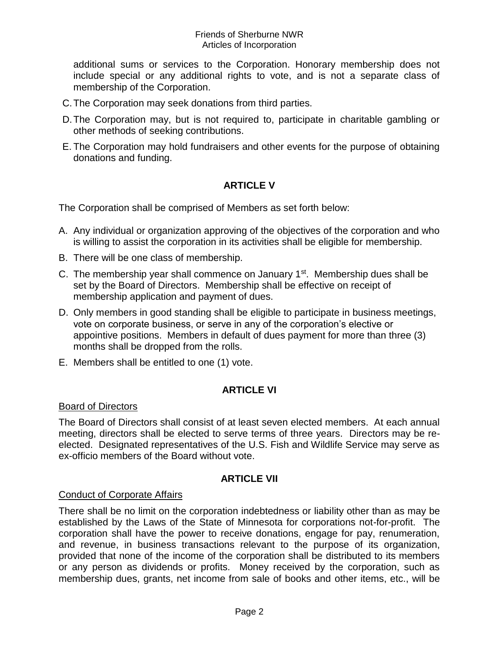#### Friends of Sherburne NWR Articles of Incorporation

additional sums or services to the Corporation. Honorary membership does not include special or any additional rights to vote, and is not a separate class of membership of the Corporation.

- C.The Corporation may seek donations from third parties.
- D.The Corporation may, but is not required to, participate in charitable gambling or other methods of seeking contributions.
- E. The Corporation may hold fundraisers and other events for the purpose of obtaining donations and funding.

# **ARTICLE V**

The Corporation shall be comprised of Members as set forth below:

- A. Any individual or organization approving of the objectives of the corporation and who is willing to assist the corporation in its activities shall be eligible for membership.
- B. There will be one class of membership.
- C. The membership year shall commence on January  $1<sup>st</sup>$ . Membership dues shall be set by the Board of Directors. Membership shall be effective on receipt of membership application and payment of dues.
- D. Only members in good standing shall be eligible to participate in business meetings, vote on corporate business, or serve in any of the corporation's elective or appointive positions. Members in default of dues payment for more than three (3) months shall be dropped from the rolls.
- E. Members shall be entitled to one (1) vote.

# **ARTICLE VI**

#### Board of Directors

The Board of Directors shall consist of at least seven elected members. At each annual meeting, directors shall be elected to serve terms of three years. Directors may be reelected. Designated representatives of the U.S. Fish and Wildlife Service may serve as ex-officio members of the Board without vote.

#### **ARTICLE VII**

#### Conduct of Corporate Affairs

There shall be no limit on the corporation indebtedness or liability other than as may be established by the Laws of the State of Minnesota for corporations not-for-profit. The corporation shall have the power to receive donations, engage for pay, renumeration, and revenue, in business transactions relevant to the purpose of its organization, provided that none of the income of the corporation shall be distributed to its members or any person as dividends or profits. Money received by the corporation, such as membership dues, grants, net income from sale of books and other items, etc., will be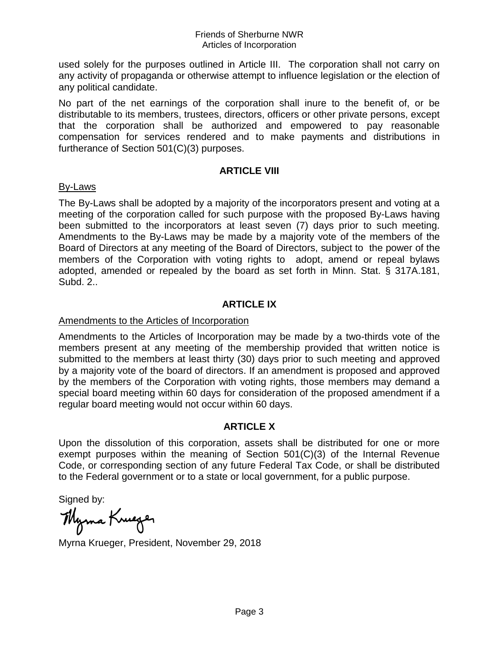used solely for the purposes outlined in Article III. The corporation shall not carry on any activity of propaganda or otherwise attempt to influence legislation or the election of any political candidate.

No part of the net earnings of the corporation shall inure to the benefit of, or be distributable to its members, trustees, directors, officers or other private persons, except that the corporation shall be authorized and empowered to pay reasonable compensation for services rendered and to make payments and distributions in furtherance of Section 501(C)(3) purposes.

### **ARTICLE VIII**

#### By-Laws

The By-Laws shall be adopted by a majority of the incorporators present and voting at a meeting of the corporation called for such purpose with the proposed By-Laws having been submitted to the incorporators at least seven (7) days prior to such meeting. Amendments to the By-Laws may be made by a majority vote of the members of the Board of Directors at any meeting of the Board of Directors, subject to the power of the members of the Corporation with voting rights to adopt, amend or repeal bylaws adopted, amended or repealed by the board as set forth in Minn. Stat. § 317A.181, Subd. 2..

## **ARTICLE IX**

### Amendments to the Articles of Incorporation

Amendments to the Articles of Incorporation may be made by a two-thirds vote of the members present at any meeting of the membership provided that written notice is submitted to the members at least thirty (30) days prior to such meeting and approved by a majority vote of the board of directors. If an amendment is proposed and approved by the members of the Corporation with voting rights, those members may demand a special board meeting within 60 days for consideration of the proposed amendment if a regular board meeting would not occur within 60 days.

### **ARTICLE X**

Upon the dissolution of this corporation, assets shall be distributed for one or more exempt purposes within the meaning of Section 501(C)(3) of the Internal Revenue Code, or corresponding section of any future Federal Tax Code, or shall be distributed to the Federal government or to a state or local government, for a public purpose.

Signed by:

Myma Kruger

Myrna Krueger, President, November 29, 2018